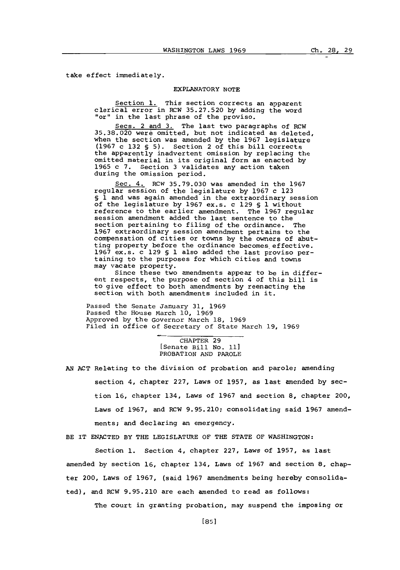take effect immediately.

## EXPLANATORY **NOTE**

Section **1.** This section corrects an apparent clerical error in RCW **35.27.520 by** adding the word "or" in the last phrase of the proviso.

Secs. 2 and **3.** The last two paragraphs **of** RCW **35.38.020** were omitted, but not indicated as deleted, when the section was amended **by** the **1967** legislature **(1967** c **132 § 5).** Section 2 of this bill corrects the apparently inadvertent omission **by** replacing the omitted material in its original form as enacted by **1965** c **7.** Section **3** validates any action taken during the omission period.

Sec. 4. RCW **35.79.030** was amended in the **1967** regular session of the legislature **by 1967** c **123 § 1** and was again amended in the extraordinary session of the legislature **by 1967** ex.s. c **129 § 1** without reference to the earlier amendment. The **1967** regular session amendment added the last sentence to the section pertaining to filing of the ordinance. The **1967** extraordinary session amendment pertains to the compensation of cities or towns **by** the owners of abutting property before the ordinance becomes effective. **1967** ex.s. c **129 § 1** also added the last proviso pertaining to the purposes for which cities and towns may vacate property.

Since these two amendments appear to be in different respects, the purpose of section 4 of this bill is to give effect to both amendments **by** reenacting the section with both amendments included in it.

Passed the Senate January **31, 1969** Passed the House March **10, 1969** Approved **by** the Governor March **18, 1969** Filed in office of Secretary of State March **19, 1969**

> CHAPTER **29** [Senate Bill No. **11]** PROBATION **AND** PAROLE

AN ACT Relating to the division of probation and parole; amending section 4, chapter **227,** Laws of **1957,** as last amended **by** section **16,** chapter 134, Laws of **1967** and section **8,** chapter 200, Laws of **1967,** and RCW **9.95.210;** consolidating said **1967** amendments; and declaring an emergency.

BE IT **ENACTED** BY THE LEGISLATURE OF THE **STATE** OF WASHINGTON:

Section **1.** Section 4, chapter **227,** Laws of **1957,** as last amended **by** section **16,** chapter 134, Laws of **1967** and section **8,** chapter 200, Laws of **1967,** (said **1967** amendments being hereby consolidated), and RCW **9.95.210** are each amended to read as follows:

The court in granting probation, may suspend the imposing or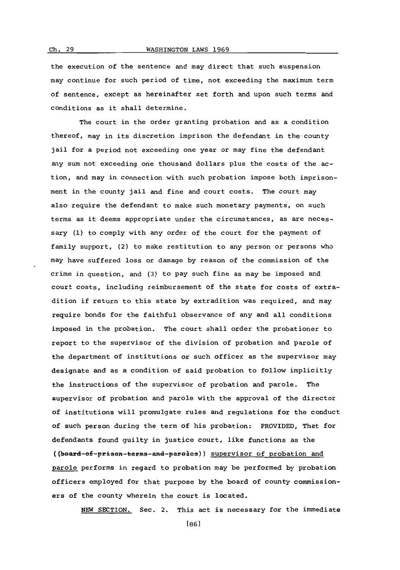the execution of the sentence and nay direct that such suspension may continue for such period of time, not exceeding the maximum term of sentence, except as hereinafter set forth and upon such terms and conditions as it shall determine.

The court in the order granting probation and as a condition thereof, may in its discretion imprison the defendant in the-county jail for a period not exceeding one year or may fine the defendant any sum not exceeding one thousand dollars plus the costs of the action, and may in connection with such probation impose both imprisonment in the county jail and fine and court costs. The court may also require the defendant to make such monetary payments, on such terms as it deems appropriate under the circumstances, as are necessary **(1)** to comply with any order of the court for the payment of family support, (2) to make restitution to any person or persons who may have suffered loss or danage **by** reason of the commission of the crime in question, and **(3)** to pay such fine as may be imposed and court costs, including reimbursement of the state for costs of extradition if return to this state **by** extradition was required, and may require bonds for the faithful observance of any and all conditions imposed in the probation. The court shall order the probationer to report to the supervisor of the division of probation and parole of the department of institutions or such officer as the supervisor may designate and as a condition of said probation to follow implicitly the instructions of the supervisor of probation and parole. The supervisor of probation and parole with the approval of the director of institutions will promulgate rules and regulations for the conduct of such person during the term of his probation: PROVIDED, That for defendants found guilty in justice court, like functions as the ((beard-ef-prisen-terms-and-pareles)) supervisor of probation and parole performs in regard to probation may be performed **by** probation officers employed for that purpose **by** the board of county commissioners of the county wherein the court is located.

**NEW** SECTION. Sec. 2. This act is necessary for the immediate

**[861**